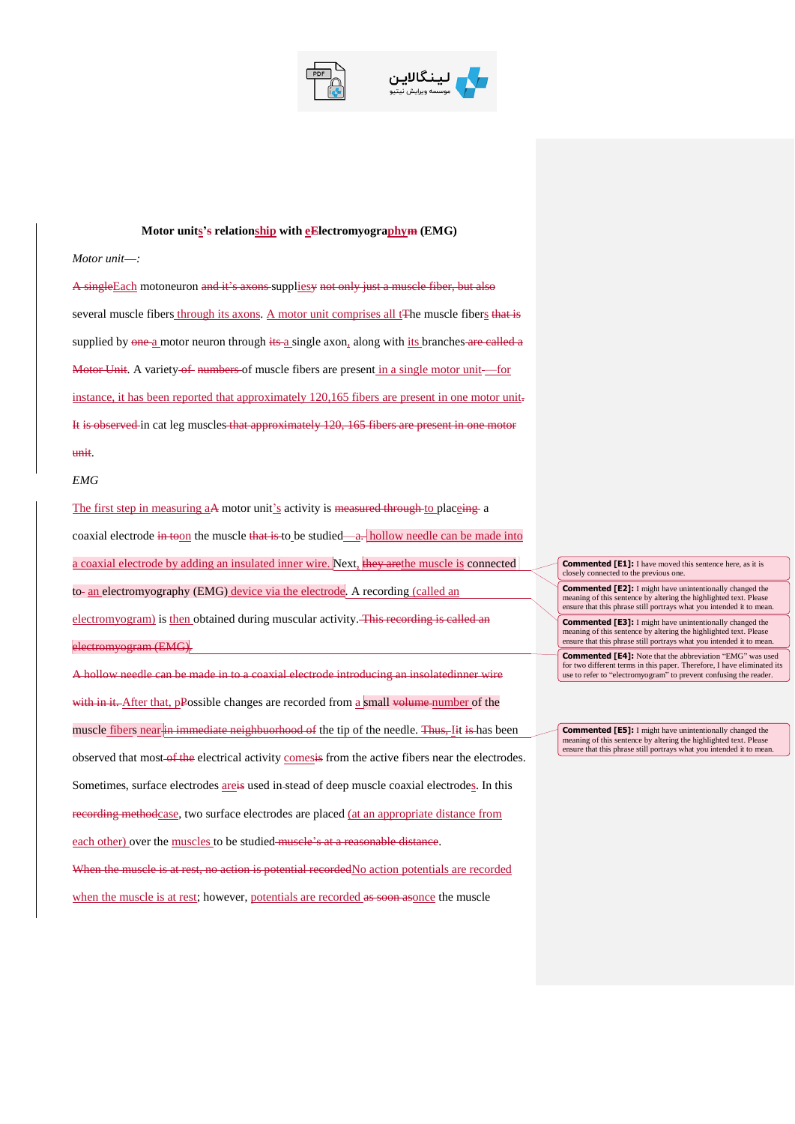



## **Motor units's relationship with eElectromyographym (EMG)**

## *Motor unit*-:

A singleEach motoneuron and it's axons suppliesy not only just a muscle fiber, but also several muscle fibers through its axons. A motor unit comprises all t<sup>The</sup> muscle fibers that is supplied by one a motor neuron through its a single axon, along with its branches are called a Motor Unit. A variety of numbers of muscle fibers are present in a single motor unit—for instance, it has been reported that approximately 120,165 fibers are present in one motor unit. It is observed in cat leg muscles that approximately 120, 165 fibers are present in one motor unit.

## *EMG*

The first step in measuring aA motor unit's activity is measured through to placeing a coaxial electrode in toon the muscle that is to be studied—a. hollow needle can be made into a coaxial electrode by adding an insulated inner wire. Next, they are the muscle is connected to- an electromyography (EMG) device via the electrode. A recording (called an electromyogram) is then obtained during muscular activity. This recording is called an electromyogram (EMG).

A hollow needle can be made in to a coaxial electrode introducing an insolatedinner wire with in it. After that, pPossible changes are recorded from a small volume number of the muscle fibers near in immediate neighbuorhood of the tip of the needle. Thus, Iit is has been observed that most-of the electrical activity comesis from the active fibers near the electrodes. Sometimes, surface electrodes areis used in stead of deep muscle coaxial electrodes. In this recording methodcase, two surface electrodes are placed (at an appropriate distance from each other) over the muscles to be studied muscle's at a reasonable distance. When the muscle is at rest, no action is potential recordedNo action potentials are recorded

when the muscle is at rest; however, potentials are recorded as soon asonce the muscle

**Commented [E1]:** I have moved this sentence here, as it is closely connected to the previous one.

**Commented [E2]:** I might have unintentionally changed the meaning of this sentence by altering the highlighted text. Please ensure that this phrase still portrays what you intended it to mean.

**Commented [E3]:** I might have unintentionally changed the meaning of this sentence by altering the highlighted text. Please ensure that this phrase still portrays what you intended it to mean. **Commented [E4]:** Note that the abbreviation "EMG" was used

for two different terms in this paper. Therefore, I have eliminated its use to refer to "electromyogram" to prevent confusing the reader.

**Commented [E5]:** I might have unintentionally changed the meaning of this sentence by altering the highlighted text. Please ensure that this phrase still portrays what you intended it to mean.